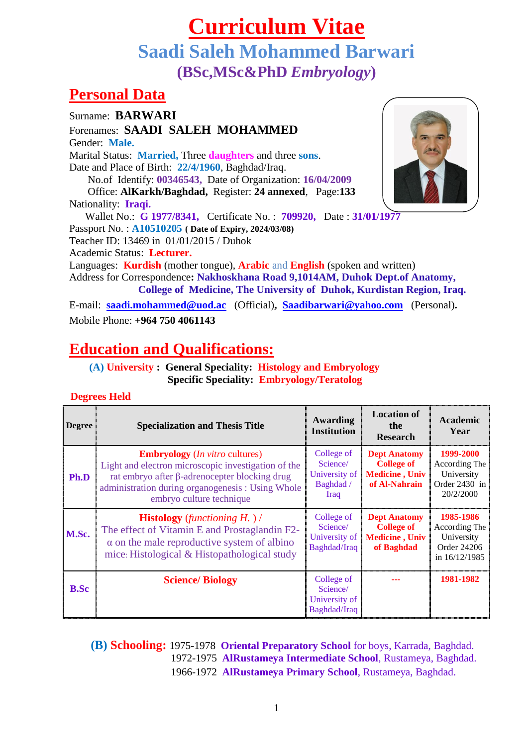# **Curriculum Vitae Saadi Saleh Mohammed Barwari (BSc,MSc&PhD** *Embryology***)**

## **Personal Data**

Surname: **BARWARI**  Forenames: **SAADI SALEH MOHAMMED** Gender: **Male.** Marital Status: **Married,** Three **daughters** and three **sons**. Date and Place of Birth: **22/4/1960**, Baghdad/Iraq. No.of Identify: **00346543,** Date of Organization: **16/04/2009** Office: **AlKarkh/Baghdad,** Register: **24 annexed**, Page:**133** Nationality: **Iraqi.** Wallet No.: **G 1977/8341,** Certificate No. : **709920,** Date : **31/01/1977** Passport No. : **A10510205 ( Date of Expiry, 2024/03/08)** Teacher ID: 13469 in 01/01/2015 / Duhok Academic Status: **Lecturer.** Languages: **Kurdish** (mother tongue), **Arabic** and **English** (spoken and written) Address for Correspondence**: Nakhoskhana Road 9,1014AM, Duhok Dept.of Anatomy, College of Medicine, The University of Duhok, Kurdistan Region, Iraq.** E-mail: **[saadi.mohammed@uod.ac](mailto:saadi.mohammed@uod.ac)** (Official)**, [Saadibarwari@yahoo.com](mailto:Saadibarwari@yahoo.com)** (Personal)**.**  Mobile Phone: **+964 750 4061143**

# **Education and Qualifications:**

 **(A) University : General Speciality: Histology and Embryology Specific Speciality: Embryology/Teratolog**

#### **Degrees Held**

| <b>Degree</b> | <b>Specialization and Thesis Title</b>                                                                                                                                                                                                 | Awarding<br><b>Institution</b>                               | <b>Location of</b><br>the<br><b>Research</b>                                        | Academic<br>Year                                                           |
|---------------|----------------------------------------------------------------------------------------------------------------------------------------------------------------------------------------------------------------------------------------|--------------------------------------------------------------|-------------------------------------------------------------------------------------|----------------------------------------------------------------------------|
| Ph.D          | <b>Embryology</b> ( <i>In vitro</i> cultures)<br>Light and electron microscopic investigation of the<br>rat embryo after β-adrenocepter blocking drug<br>administration during organogenesis : Using Whole<br>embryo culture technique | College of<br>Science/<br>University of<br>Baghdad /<br>Iraq | <b>Dept Anatomy</b><br><b>College of</b><br><b>Medicine</b> , Univ<br>of Al-Nahrain | 1999-2000<br>According The<br>University<br>Order 2430 in<br>20/2/2000     |
| M.Sc.         | <b>Histology</b> (functioning $H$ .)/<br>The effect of Vitamin E and Prostaglandin F2-<br>$\alpha$ on the male reproductive system of albino<br>mice: Histological & Histopathological study                                           | College of<br>Science/<br>University of<br>Baghdad/Iraq      | <b>Dept Anatomy</b><br><b>College of</b><br><b>Medicine</b> , Univ<br>of Baghdad    | 1985-1986<br>According The<br>University<br>Order 24206<br>in $16/12/1985$ |
| <b>B.Sc</b>   | <b>Science/Biology</b>                                                                                                                                                                                                                 | College of<br>Science/<br>University of<br>Baghdad/Iraq      |                                                                                     | 1981-1982                                                                  |

 **(B) Schooling:** 1975-1978 **Oriental Preparatory School** for boys, Karrada, Baghdad. 1972-1975 **AlRustameya Intermediate School**, Rustameya, Baghdad. 1966-1972 **AlRustameya Primary School**, Rustameya, Baghdad.

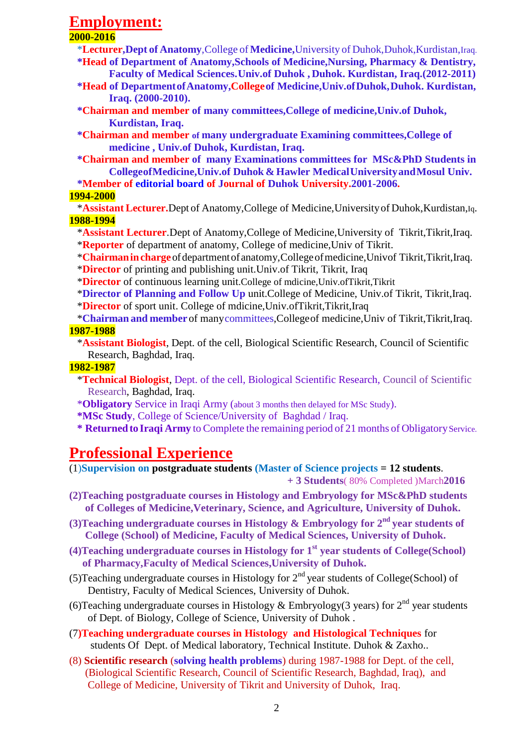## **Employment:**

#### **2000-2016**

\***Lecturer,Dept of Anatomy**,College of **Medicine,**University of Duhok,Duhok,Kurdistan,Iraq.  **\*Head of Department of Anatomy,Schools of Medicine,Nursing, Pharmacy & Dentistry,** 

 **Faculty of Medical Sciences.Univ.of Duhok , Duhok. Kurdistan, Iraq.(2012-2011)**

- **\*Head of DepartmentofAnatomy,Collegeof Medicine,Univ.ofDuhok,Duhok. Kurdistan, Iraq. (2000-2010).**
- **\*Chairman and member of many committees,College of medicine,Univ.of Duhok, Kurdistan, Iraq.**
- **\*Chairman and member of many undergraduate Examining committees,College of medicine , Univ.of Duhok, Kurdistan, Iraq.**
- **\*Chairman and member of many Examinations committees for MSc&PhD Students in CollegeofMedicine,Univ.of Duhok & Hawler MedicalUniversityandMosul Univ.**

 **\*Member of editorial board of Journal of Duhok University.2001-2006.**

#### **1994-2000**

 \***Assistant Lecturer.**Dept of Anatomy,College of Medicine,Universityof Duhok,Kurdistan,Iq. **1988-1994**

\***Assistant Lecturer**.Dept of Anatomy,College of Medicine,University of Tikrit,Tikrit,Iraq. \***Reporter** of department of anatomy, College of medicine,Univ of Tikrit.

\***Chairmanincharge**ofdepartmentofanatomy,Collegeofmedicine,Univof Tikrit,Tikrit,Iraq.

- \***Director** of printing and publishing unit.Univ.of Tikrit, Tikrit, Iraq
- \***Director** of continuous learning unit.College of mdicine,Univ.ofTikrit,Tikrit

 \***Director of Planning and Follow Up** unit.College of Medicine, Univ.of Tikrit, Tikrit,Iraq. \***Director** of sport unit. College of mdicine,Univ.ofTikrit,Tikrit,Iraq

- 
- \***Chairman and member** of manycommittees,Collegeof medicine,Univ of Tikrit,Tikrit,Iraq. **1987-1988**
	- \***Assistant Biologist**, Dept. of the cell, Biological Scientific Research, Council of Scientific Research, Baghdad, Iraq.

#### **1982-1987**

- \***Technical Biologist**, Dept. of the cell, Biological Scientific Research, Council of Scientific Research, Baghdad, Iraq.
- \***Obligatory** Service in Iraqi Army (about 3 months then delayed for MSc Study).
- **\*MSc Study**, College of Science/University of Baghdad / Iraq.
- \* **Returned to Iraqi Army** to Complete the remaining period of 21 months of Obligatory Service.

### **Professional Experience**

(1)**Supervision on postgraduate students (Master of Science projects = 12 students**.

 **+ 3 Students**( 80% Completed )March**2016**

- **(2)Teaching postgraduate courses in Histology and Embryology for MSc&PhD students of Colleges of Medicine,Veterinary, Science, and Agriculture, University of Duhok.**
- **(3)Teaching undergraduate courses in Histology & Embryology for 2nd year students of College (School) of Medicine, Faculty of Medical Sciences, University of Duhok.**
- **(4)Teaching undergraduate courses in Histology for 1st year students of College(School) of Pharmacy,Faculty of Medical Sciences,University of Duhok.**
- (5) Teaching undergraduate courses in Histology for  $2<sup>nd</sup>$  year students of College(School) of Dentistry, Faculty of Medical Sciences, University of Duhok.
- (6) Teaching undergraduate courses in Histology & Embryology (3 years) for  $2<sup>nd</sup>$  year students of Dept. of Biology, College of Science, University of Duhok .
- (7**)Teaching undergraduate courses in Histology and Histological Techniques** for students Of Dept. of Medical laboratory, Technical Institute. Duhok & Zaxho..
- (8) **Scientific research** (**solving health problems**) during 1987-1988 for Dept. of the cell, (Biological Scientific Research, Council of Scientific Research, Baghdad, Iraq), and College of Medicine, University of Tikrit and University of Duhok, Iraq.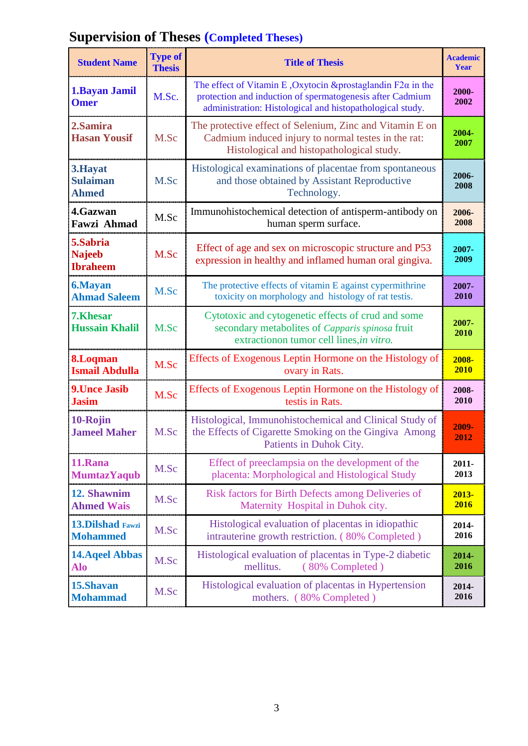| <b>Supervision of Theses (Completed Theses)</b> |  |  |
|-------------------------------------------------|--|--|
|-------------------------------------------------|--|--|

| <b>Student Name</b>                          | <b>Type of</b><br><b>Thesis</b> | <b>Title of Thesis</b>                                                                                                                                                                         | <b>Academic</b><br>Year |
|----------------------------------------------|---------------------------------|------------------------------------------------------------------------------------------------------------------------------------------------------------------------------------------------|-------------------------|
| 1. Bayan Jamil<br><b>Omer</b>                | M.Sc.                           | The effect of Vitamin E , Oxytocin & prostaglandin $F2\alpha$ in the<br>protection and induction of spermatogenesis after Cadmium<br>administration: Histological and histopathological study. | 2000-<br>2002           |
| 2.Samira<br><b>Hasan Yousif</b>              | M.Sc                            | The protective effect of Selenium, Zinc and Vitamin E on<br>Cadmium induced injury to normal testes in the rat:<br>Histological and histopathological study.                                   | 2004-<br>2007           |
| 3.Hayat<br><b>Sulaiman</b><br><b>Ahmed</b>   | M.Sc                            | Histological examinations of placentae from spontaneous<br>and those obtained by Assistant Reproductive<br>Technology.                                                                         | 2006-<br>2008           |
| 4.Gazwan                                     | M.Sc                            | Immunohistochemical detection of antisperm-antibody on                                                                                                                                         | 2006-                   |
| Fawzi Ahmad                                  |                                 | human sperm surface.                                                                                                                                                                           | 2008                    |
| 5.Sabria<br><b>Najeeb</b><br><b>Ibraheem</b> | M.Sc                            | Effect of age and sex on microscopic structure and P53<br>expression in healthy and inflamed human oral gingiva.                                                                               | 2007-<br>2009           |
| <b>6.Mayan</b>                               | M.Sc                            | The protective effects of vitamin E against cypermithrine                                                                                                                                      | 2007-                   |
| <b>Ahmad Saleem</b>                          |                                 | toxicity on morphology and histology of rat testis.                                                                                                                                            | 2010                    |
| 7.Khesar<br><b>Hussain Khalil</b>            | M.Sc                            | Cytotoxic and cytogenetic effects of crud and some<br>secondary metabolites of Capparis spinosa fruit<br>extractionon tumor cell lines, in vitro.                                              | 2007-<br>2010           |
| 8.Loqman                                     | M.Sc                            | Effects of Exogenous Leptin Hormone on the Histology of                                                                                                                                        | 2008-                   |
| <b>Ismail Abdulla</b>                        |                                 | ovary in Rats.                                                                                                                                                                                 | <b>2010</b>             |
| <b>9. Unce Jasib</b>                         | M.Sc                            | Effects of Exogenous Leptin Hormone on the Histology of                                                                                                                                        | 2008-                   |
| <b>Jasim</b>                                 |                                 | testis in Rats.                                                                                                                                                                                | 2010                    |
| 10-Rojin<br><b>Jameel Maher</b>              | M.Sc                            | Histological, Immunohistochemical and Clinical Study of<br>the Effects of Cigarette Smoking on the Gingiva Among<br>Patients in Duhok City.                                                    | 2009-<br>2012           |
| 11.Rana                                      | M.Sc                            | Effect of preeclampsia on the development of the                                                                                                                                               | 2011-                   |
| <b>MumtazYaqub</b>                           |                                 | placenta: Morphological and Histological Study                                                                                                                                                 | 2013                    |
| 12. Shawnim                                  | M.Sc                            | Risk factors for Birth Defects among Deliveries of                                                                                                                                             | 2013-                   |
| <b>Ahmed Wais</b>                            |                                 | Maternity Hospital in Duhok city.                                                                                                                                                              | 2016                    |
| <b>13.Dilshad Fawzi</b>                      | M.Sc                            | Histological evaluation of placentas in idiopathic                                                                                                                                             | 2014-                   |
| <b>Mohammed</b>                              |                                 | intrauterine growth restriction. (80% Completed)                                                                                                                                               | 2016                    |
| <b>14. Aqeel Abbas</b><br>Alo                | M.Sc                            | Histological evaluation of placentas in Type-2 diabetic<br>mellitus.<br>(80% Completed)                                                                                                        | 2014-<br>2016           |
| 15.Shavan                                    | M.Sc                            | Histological evaluation of placentas in Hypertension                                                                                                                                           | 2014-                   |
| <b>Mohammad</b>                              |                                 | mothers. (80% Completed)                                                                                                                                                                       | 2016                    |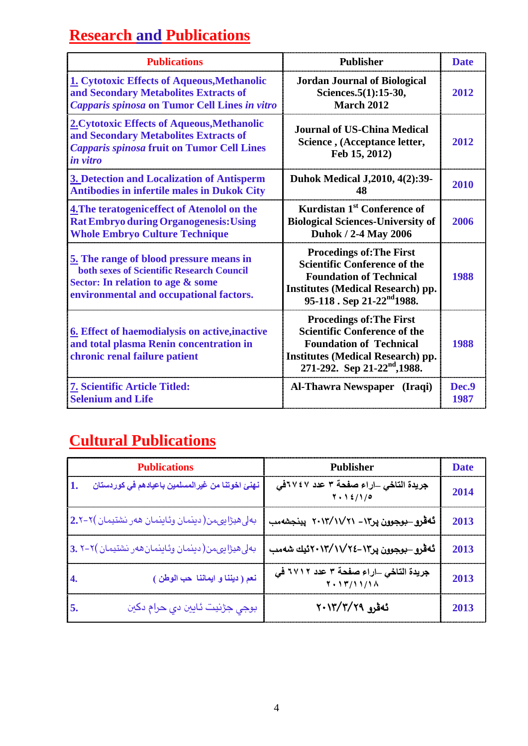# **Research and Publications**

| <b>Publications</b>                                                                                                                                                         | <b>Publisher</b>                                                                                                                                                                                 | <b>Date</b>   |
|-----------------------------------------------------------------------------------------------------------------------------------------------------------------------------|--------------------------------------------------------------------------------------------------------------------------------------------------------------------------------------------------|---------------|
| 1. Cytotoxic Effects of Aqueous, Methanolic<br>and Secondary Metabolites Extracts of<br><b>Capparis spinosa on Tumor Cell Lines in vitro</b>                                | <b>Jordan Journal of Biological</b><br>Sciences.5(1):15-30,<br><b>March 2012</b>                                                                                                                 | 2012          |
| 2. Cytotoxic Effects of Aqueous, Methanolic<br>and Secondary Metabolites Extracts of<br><b>Capparis spinosa fruit on Tumor Cell Lines</b><br>in vitro                       | <b>Journal of US-China Medical</b><br>Science, (Acceptance letter,<br>Feb 15, 2012)                                                                                                              | 2012          |
| 3. Detection and Localization of Antisperm<br><b>Antibodies in infertile males in Dukok City</b>                                                                            | Duhok Medical J, 2010, 4(2): 39-<br>48                                                                                                                                                           | 2010          |
| 4. The teratogenic effect of Atenolol on the<br><b>Rat Embryo during Organogenesis: Using</b><br><b>Whole Embryo Culture Technique</b>                                      | Kurdistan 1 <sup>st</sup> Conference of<br><b>Biological Sciences-University of</b><br><b>Duhok / 2-4 May 2006</b>                                                                               | 2006          |
| 5. The range of blood pressure means in<br><b>both sexes of Scientific Research Council</b><br>Sector: In relation to age & some<br>environmental and occupational factors. | <b>Procedings of: The First</b><br><b>Scientific Conference of the</b><br><b>Foundation of Technical</b><br><b>Institutes (Medical Research) pp.</b><br>95-118. Sep 21-22 <sup>nd</sup> 1988.    | 1988          |
| <b>6.</b> Effect of haemodialysis on active, inactive<br>and total plasma Renin concentration in<br>chronic renal failure patient                                           | <b>Procedings of: The First</b><br><b>Scientific Conference of the</b><br><b>Foundation of Technical</b><br><b>Institutes (Medical Research) pp.</b><br>271-292. Sep 21-22 <sup>nd</sup> , 1988. | 1988          |
| <b>7. Scientific Article Titled:</b><br><b>Selenium and Life</b>                                                                                                            | Al-Thawra Newspaper (Iraqi)                                                                                                                                                                      | Dec.9<br>1987 |

# **Cultural Publications**

| <b>Publications</b>                                     | Publisher                                                | <b>Date</b> |
|---------------------------------------------------------|----------------------------------------------------------|-------------|
| نهنئ اخوتنا من غيرالمسلمين باعيادهم ف <i>ي</i> كوردستان | جريدة التاخي _اراء صفحة ٣ عدد ٢٤٧٢في<br>7.12/10          | 2014        |
| بەلى ھيژاپىمن(دېنمان وئاينمان ھەر نشتيمان )٢–2.٢        | ئەقرو_بوجوون ير١٣ - ٢٠١٣/١١/ ٢٠١٣  يېنجشەمب              | 2013        |
| بەلى ھیژاپىمن(دېنمان وئاينمان ھەر نشتيمان )٢-٢. 3.      | ئەقرو_بوجوون پر١٣-٢٤/١٧/٢٤-٢ئيك شەمب                     | 2013        |
| نعم ( ديننا و ايماننا حب الوطن )<br>14.                 | جريدة التاخي _اراء صفحة ٣ عدد ٢٧١٢ في<br>Y . 1 T/1 1/1 A | 2013        |
| بوجي جڙنيت ئايين دي حرام دکين<br>5.                     | ئەقرو ٢٠١٣/٢/٢٩                                          | 2013        |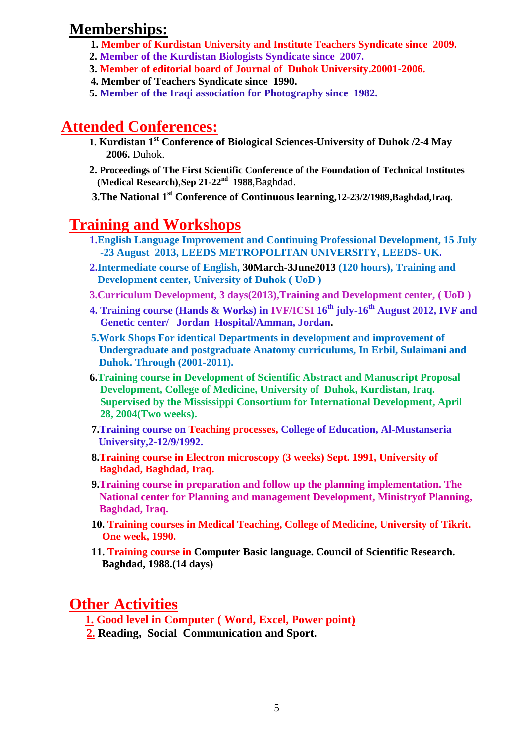### **Memberships:**

- **1. Member of Kurdistan University and Institute Teachers Syndicate since 2009.**
- **2. Member of the Kurdistan Biologists Syndicate since 2007.**
- **3. Member of editorial board of Journal of Duhok University.20001-2006.**
- **4. Member of Teachers Syndicate since 1990.**
- **5. Member of the Iraqi association for Photography since 1982.**

## **Attended Conferences:**

- **1. Kurdistan 1st Conference of Biological Sciences-University of Duhok /2-4 May 2006.** Duhok.
- **2. Proceedings of The First Scientific Conference of the Foundation of Technical Institutes (Medical Research)**,**Sep 21-22nd 1988**,Baghdad.

**3.The National 1st Conference of Continuous learning,12-23/2/1989,Baghdad,Iraq.**

## **Training and Workshops**

- **1.English Language Improvement and Continuing Professional Development, 15 July -23 August 2013, LEEDS METROPOLITAN UNIVERSITY, LEEDS- UK.**
- **2.Intermediate course of English, 30March-3June2013 (120 hours), Training and Development center, University of Duhok ( UoD )**
- **3.Curriculum Development, 3 days(2013),Training and Development center, ( UoD )**
- **4. Training course (Hands & Works) in IVF/ICSI 16th july-16th August 2012, IVF and Genetic center/ Jordan Hospital/Amman, Jordan.**
- **5.Work Shops For identical Departments in development and improvement of Undergraduate and postgraduate Anatomy curriculums, In Erbil, Sulaimani and Duhok. Through (2001-2011).**
- **6.Training course in Development of Scientific Abstract and Manuscript Proposal Development, College of Medicine, University of Duhok, Kurdistan, Iraq. Supervised by the Mississippi Consortium for International Development, April 28, 2004(Two weeks).**
- **7.Training course on Teaching processes, College of Education, Al-Mustanseria University,2-12/9/1992.**
- **8.Training course in Electron microscopy (3 weeks) Sept. 1991, University of Baghdad, Baghdad, Iraq.**
- **9.Training course in preparation and follow up the planning implementation. The National center for Planning and management Development, Ministryof Planning, Baghdad, Iraq.**
- **10. Training courses in Medical Teaching, College of Medicine, University of Tikrit. One week, 1990.**
- **11. Training course in Computer Basic language. Council of Scientific Research. Baghdad, 1988.(14 days)**

### **Other Activities**

 **1. Good level in Computer ( Word, Excel, Power point)** 

 **2. Reading, Social Communication and Sport.**